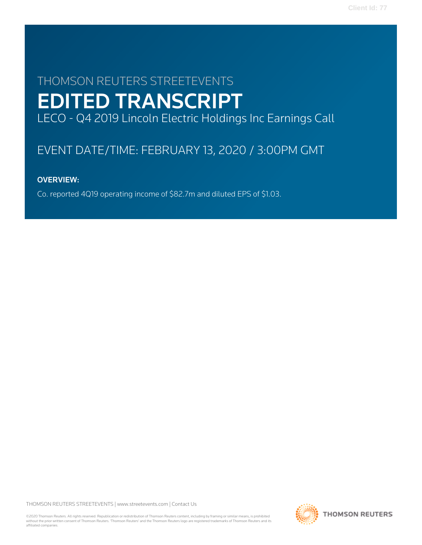# THOMSON REUTERS STREETEVENTS EDITED TRANSCRIPT LECO - Q4 2019 Lincoln Electric Holdings Inc Earnings Call

# EVENT DATE/TIME: FEBRUARY 13, 2020 / 3:00PM GMT

## OVERVIEW:

Co. reported 4Q19 operating income of \$82.7m and diluted EPS of \$1.03.

THOMSON REUTERS STREETEVENTS | [www.streetevents.com](http://www.streetevents.com) | [Contact Us](http://www010.streetevents.com/contact.asp)

©2020 Thomson Reuters. All rights reserved. Republication or redistribution of Thomson Reuters content, including by framing or similar means, is prohibited without the prior written consent of Thomson Reuters. 'Thomson Reuters' and the Thomson Reuters logo are registered trademarks of Thomson Reuters and its affiliated companies.

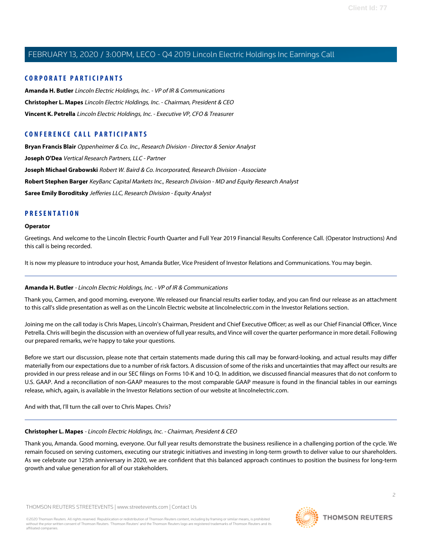#### **CORPORATE PARTICIPANTS**

**[Amanda H. Butler](#page-1-0)** Lincoln Electric Holdings, Inc. - VP of IR & Communications **[Christopher L. Mapes](#page-1-1)** Lincoln Electric Holdings, Inc. - Chairman, President & CEO **[Vincent K. Petrella](#page-2-0)** Lincoln Electric Holdings, Inc. - Executive VP, CFO & Treasurer

## **CONFERENCE CALL PARTICIPANTS**

**[Bryan Francis Blair](#page-7-0)** Oppenheimer & Co. Inc., Research Division - Director & Senior Analyst **[Joseph O'Dea](#page-5-0)** Vertical Research Partners, LLC - Partner **[Joseph Michael Grabowski](#page-6-0)** Robert W. Baird & Co. Incorporated, Research Division - Associate **[Robert Stephen Barger](#page-8-0)** KeyBanc Capital Markets Inc., Research Division - MD and Equity Research Analyst **[Saree Emily Boroditsky](#page-4-0)** Jefferies LLC, Research Division - Equity Analyst

### **PRESENTATION**

#### **Operator**

Greetings. And welcome to the Lincoln Electric Fourth Quarter and Full Year 2019 Financial Results Conference Call. (Operator Instructions) And this call is being recorded.

<span id="page-1-0"></span>It is now my pleasure to introduce your host, Amanda Butler, Vice President of Investor Relations and Communications. You may begin.

#### **Amanda H. Butler** - Lincoln Electric Holdings, Inc. - VP of IR & Communications

Thank you, Carmen, and good morning, everyone. We released our financial results earlier today, and you can find our release as an attachment to this call's slide presentation as well as on the Lincoln Electric website at lincolnelectric.com in the Investor Relations section.

Joining me on the call today is Chris Mapes, Lincoln's Chairman, President and Chief Executive Officer; as well as our Chief Financial Officer, Vince Petrella. Chris will begin the discussion with an overview of full year results, and Vince will cover the quarter performance in more detail. Following our prepared remarks, we're happy to take your questions.

Before we start our discussion, please note that certain statements made during this call may be forward-looking, and actual results may differ materially from our expectations due to a number of risk factors. A discussion of some of the risks and uncertainties that may affect our results are provided in our press release and in our SEC filings on Forms 10-K and 10-Q. In addition, we discussed financial measures that do not conform to U.S. GAAP. And a reconciliation of non-GAAP measures to the most comparable GAAP measure is found in the financial tables in our earnings release, which, again, is available in the Investor Relations section of our website at lincolnelectric.com.

<span id="page-1-1"></span>And with that, I'll turn the call over to Chris Mapes. Chris?

#### **Christopher L. Mapes** - Lincoln Electric Holdings, Inc. - Chairman, President & CEO

Thank you, Amanda. Good morning, everyone. Our full year results demonstrate the business resilience in a challenging portion of the cycle. We remain focused on serving customers, executing our strategic initiatives and investing in long-term growth to deliver value to our shareholders. As we celebrate our 125th anniversary in 2020, we are confident that this balanced approach continues to position the business for long-term growth and value generation for all of our stakeholders.

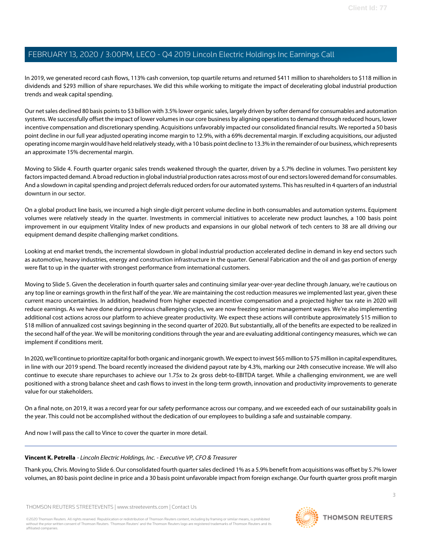In 2019, we generated record cash flows, 113% cash conversion, top quartile returns and returned \$411 million to shareholders to \$118 million in dividends and \$293 million of share repurchases. We did this while working to mitigate the impact of decelerating global industrial production trends and weak capital spending.

Our net sales declined 80 basis points to \$3 billion with 3.5% lower organic sales, largely driven by softer demand for consumables and automation systems. We successfully offset the impact of lower volumes in our core business by aligning operations to demand through reduced hours, lower incentive compensation and discretionary spending. Acquisitions unfavorably impacted our consolidated financial results. We reported a 50 basis point decline in our full year adjusted operating income margin to 12.9%, with a 69% decremental margin. If excluding acquisitions, our adjusted operating income margin would have held relatively steady, with a 10 basis point decline to 13.3% in the remainder of our business, which represents an approximate 15% decremental margin.

Moving to Slide 4. Fourth quarter organic sales trends weakened through the quarter, driven by a 5.7% decline in volumes. Two persistent key factors impacted demand. A broad reduction in global industrial production rates across most of our end sectors lowered demand for consumables. And a slowdown in capital spending and project deferrals reduced orders for our automated systems. This has resulted in 4 quarters of an industrial downturn in our sector.

On a global product line basis, we incurred a high single-digit percent volume decline in both consumables and automation systems. Equipment volumes were relatively steady in the quarter. Investments in commercial initiatives to accelerate new product launches, a 100 basis point improvement in our equipment Vitality Index of new products and expansions in our global network of tech centers to 38 are all driving our equipment demand despite challenging market conditions.

Looking at end market trends, the incremental slowdown in global industrial production accelerated decline in demand in key end sectors such as automotive, heavy industries, energy and construction infrastructure in the quarter. General Fabrication and the oil and gas portion of energy were flat to up in the quarter with strongest performance from international customers.

Moving to Slide 5. Given the deceleration in fourth quarter sales and continuing similar year-over-year decline through January, we're cautious on any top line or earnings growth in the first half of the year. We are maintaining the cost reduction measures we implemented last year, given these current macro uncertainties. In addition, headwind from higher expected incentive compensation and a projected higher tax rate in 2020 will reduce earnings. As we have done during previous challenging cycles, we are now freezing senior management wages. We're also implementing additional cost actions across our platform to achieve greater productivity. We expect these actions will contribute approximately \$15 million to \$18 million of annualized cost savings beginning in the second quarter of 2020. But substantially, all of the benefits are expected to be realized in the second half of the year. We will be monitoring conditions through the year and are evaluating additional contingency measures, which we can implement if conditions merit.

In 2020, we'll continue to prioritize capital for both organic and inorganic growth. We expect to invest \$65 million to \$75 million in capital expenditures, in line with our 2019 spend. The board recently increased the dividend payout rate by 4.3%, marking our 24th consecutive increase. We will also continue to execute share repurchases to achieve our 1.75x to 2x gross debt-to-EBITDA target. While a challenging environment, we are well positioned with a strong balance sheet and cash flows to invest in the long-term growth, innovation and productivity improvements to generate value for our stakeholders.

<span id="page-2-0"></span>On a final note, on 2019, it was a record year for our safety performance across our company, and we exceeded each of our sustainability goals in the year. This could not be accomplished without the dedication of our employees to building a safe and sustainable company.

And now I will pass the call to Vince to cover the quarter in more detail.

#### **Vincent K. Petrella** - Lincoln Electric Holdings, Inc. - Executive VP, CFO & Treasurer

Thank you, Chris. Moving to Slide 6. Our consolidated fourth quarter sales declined 1% as a 5.9% benefit from acquisitions was offset by 5.7% lower volumes, an 80 basis point decline in price and a 30 basis point unfavorable impact from foreign exchange. Our fourth quarter gross profit margin

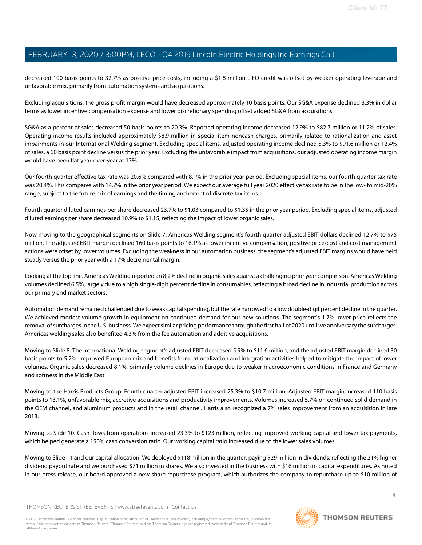decreased 100 basis points to 32.7% as positive price costs, including a \$1.8 million LIFO credit was offset by weaker operating leverage and unfavorable mix, primarily from automation systems and acquisitions.

Excluding acquisitions, the gross profit margin would have decreased approximately 10 basis points. Our SG&A expense declined 3.3% in dollar terms as lower incentive compensation expense and lower discretionary spending offset added SG&A from acquisitions.

SG&A as a percent of sales decreased 50 basis points to 20.3%. Reported operating income decreased 12.9% to \$82.7 million or 11.2% of sales. Operating income results included approximately \$8.9 million in special item noncash charges, primarily related to rationalization and asset impairments in our International Welding segment. Excluding special items, adjusted operating income declined 5.3% to \$91.6 million or 12.4% of sales, a 60 basis point decline versus the prior year. Excluding the unfavorable impact from acquisitions, our adjusted operating income margin would have been flat year-over-year at 13%.

Our fourth quarter effective tax rate was 20.6% compared with 8.1% in the prior year period. Excluding special items, our fourth quarter tax rate was 20.4%. This compares with 14.7% in the prior year period. We expect our average full year 2020 effective tax rate to be in the low- to mid-20% range, subject to the future mix of earnings and the timing and extent of discrete tax items.

Fourth quarter diluted earnings per share decreased 23.7% to \$1.03 compared to \$1.35 in the prior year period. Excluding special items, adjusted diluted earnings per share decreased 10.9% to \$1.15, reflecting the impact of lower organic sales.

Now moving to the geographical segments on Slide 7. Americas Welding segment's fourth quarter adjusted EBIT dollars declined 12.7% to \$75 million. The adjusted EBIT margin declined 160 basis points to 16.1% as lower incentive compensation, positive price/cost and cost management actions were offset by lower volumes. Excluding the weakness in our automation business, the segment's adjusted EBIT margins would have held steady versus the prior year with a 17% decremental margin.

Looking at the top line. Americas Welding reported an 8.2% decline in organic sales against a challenging prior year comparison. Americas Welding volumes declined 6.5%, largely due to a high single-digit percent decline in consumables, reflecting a broad decline in industrial production across our primary end market sectors.

Automation demand remained challenged due to weak capital spending, but the rate narrowed to a low double-digit percent decline in the quarter. We achieved modest volume growth in equipment on continued demand for our new solutions. The segment's 1.7% lower price reflects the removal of surcharges in the U.S. business. We expect similar pricing performance through the first half of 2020 until we anniversary the surcharges. Americas welding sales also benefited 4.3% from the fee automation and additive acquisitions.

Moving to Slide 8. The International Welding segment's adjusted EBIT decreased 5.9% to \$11.6 million, and the adjusted EBIT margin declined 30 basis points to 5.2%. Improved European mix and benefits from rationalization and integration activities helped to mitigate the impact of lower volumes. Organic sales decreased 8.1%, primarily volume declines in Europe due to weaker macroeconomic conditions in France and Germany and softness in the Middle East.

Moving to the Harris Products Group. Fourth quarter adjusted EBIT increased 25.3% to \$10.7 million. Adjusted EBIT margin increased 110 basis points to 13.1%, unfavorable mix, accretive acquisitions and productivity improvements. Volumes increased 5.7% on continued solid demand in the OEM channel, and aluminum products and in the retail channel. Harris also recognized a 7% sales improvement from an acquisition in late 2018.

Moving to Slide 10. Cash flows from operations increased 23.3% to \$123 million, reflecting improved working capital and lower tax payments, which helped generate a 150% cash conversion ratio. Our working capital ratio increased due to the lower sales volumes.

Moving to Slide 11 and our capital allocation. We deployed \$118 million in the quarter, paying \$29 million in dividends, reflecting the 21% higher dividend payout rate and we purchased \$71 million in shares. We also invested in the business with \$16 million in capital expenditures. As noted in our press release, our board approved a new share repurchase program, which authorizes the company to repurchase up to \$10 million of

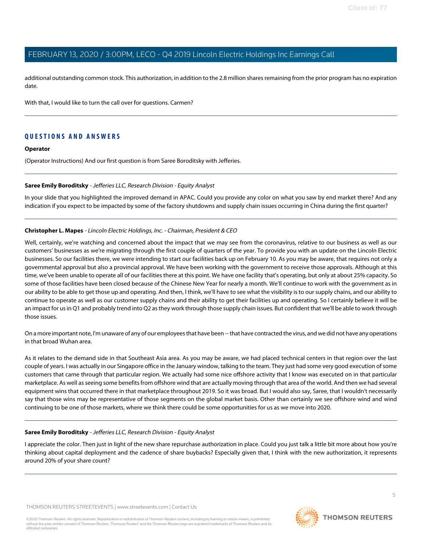additional outstanding common stock. This authorization, in addition to the 2.8 million shares remaining from the prior program has no expiration date.

With that, I would like to turn the call over for questions. Carmen?

### **QUESTIONS AND ANSWERS**

#### **Operator**

<span id="page-4-0"></span>(Operator Instructions) And our first question is from Saree Boroditsky with Jefferies.

#### **Saree Emily Boroditsky** - Jefferies LLC, Research Division - Equity Analyst

In your slide that you highlighted the improved demand in APAC. Could you provide any color on what you saw by end market there? And any indication if you expect to be impacted by some of the factory shutdowns and supply chain issues occurring in China during the first quarter?

#### **Christopher L. Mapes** - Lincoln Electric Holdings, Inc. - Chairman, President & CEO

Well, certainly, we're watching and concerned about the impact that we may see from the coronavirus, relative to our business as well as our customers' businesses as we're migrating through the first couple of quarters of the year. To provide you with an update on the Lincoln Electric businesses. So our facilities there, we were intending to start our facilities back up on February 10. As you may be aware, that requires not only a governmental approval but also a provincial approval. We have been working with the government to receive those approvals. Although at this time, we've been unable to operate all of our facilities there at this point. We have one facility that's operating, but only at about 25% capacity. So some of those facilities have been closed because of the Chinese New Year for nearly a month. We'll continue to work with the government as in our ability to be able to get those up and operating. And then, I think, we'll have to see what the visibility is to our supply chains, and our ability to continue to operate as well as our customer supply chains and their ability to get their facilities up and operating. So I certainly believe it will be an impact for us in Q1 and probably trend into Q2 as they work through those supply chain issues. But confident that we'll be able to work through those issues.

On a more important note, I'm unaware of any of our employees that have been -- that have contracted the virus, and we did not have any operations in that broad Wuhan area.

As it relates to the demand side in that Southeast Asia area. As you may be aware, we had placed technical centers in that region over the last couple of years. I was actually in our Singapore office in the January window, talking to the team. They just had some very good execution of some customers that came through that particular region. We actually had some nice offshore activity that I know was executed on in that particular marketplace. As well as seeing some benefits from offshore wind that are actually moving through that area of the world. And then we had several equipment wins that occurred there in that marketplace throughout 2019. So it was broad. But I would also say, Saree, that I wouldn't necessarily say that those wins may be representative of those segments on the global market basis. Other than certainly we see offshore wind and wind continuing to be one of those markets, where we think there could be some opportunities for us as we move into 2020.

#### **Saree Emily Boroditsky** - Jefferies LLC, Research Division - Equity Analyst

I appreciate the color. Then just in light of the new share repurchase authorization in place. Could you just talk a little bit more about how you're thinking about capital deployment and the cadence of share buybacks? Especially given that, I think with the new authorization, it represents around 20% of your share count?

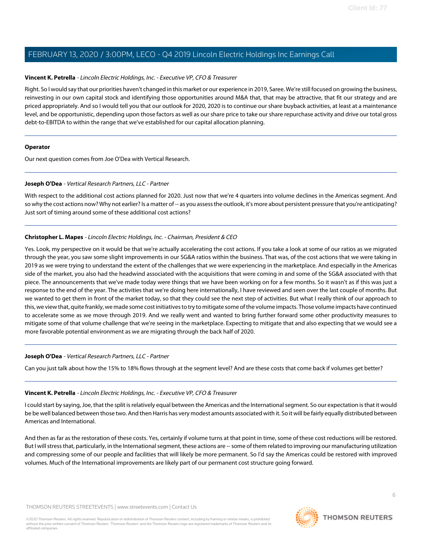#### **Vincent K. Petrella** - Lincoln Electric Holdings, Inc. - Executive VP, CFO & Treasurer

Right. So I would say that our priorities haven't changed in this market or our experience in 2019, Saree. We're still focused on growing the business, reinvesting in our own capital stock and identifying those opportunities around M&A that, that may be attractive, that fit our strategy and are priced appropriately. And so I would tell you that our outlook for 2020, 2020 is to continue our share buyback activities, at least at a maintenance level, and be opportunistic, depending upon those factors as well as our share price to take our share repurchase activity and drive our total gross debt-to-EBITDA to within the range that we've established for our capital allocation planning.

#### **Operator**

<span id="page-5-0"></span>Our next question comes from Joe O'Dea with Vertical Research.

#### **Joseph O'Dea** - Vertical Research Partners, LLC - Partner

With respect to the additional cost actions planned for 2020. Just now that we're 4 quarters into volume declines in the Americas segment. And so why the cost actions now? Why not earlier? Is a matter of -- as you assess the outlook, it's more about persistent pressure that you're anticipating? Just sort of timing around some of these additional cost actions?

#### **Christopher L. Mapes** - Lincoln Electric Holdings, Inc. - Chairman, President & CEO

Yes. Look, my perspective on it would be that we're actually accelerating the cost actions. If you take a look at some of our ratios as we migrated through the year, you saw some slight improvements in our SG&A ratios within the business. That was, of the cost actions that we were taking in 2019 as we were trying to understand the extent of the challenges that we were experiencing in the marketplace. And especially in the Americas side of the market, you also had the headwind associated with the acquisitions that were coming in and some of the SG&A associated with that piece. The announcements that we've made today were things that we have been working on for a few months. So it wasn't as if this was just a response to the end of the year. The activities that we're doing here internationally, I have reviewed and seen over the last couple of months. But we wanted to get them in front of the market today, so that they could see the next step of activities. But what I really think of our approach to this, we view that, quite frankly, we made some cost initiatives to try to mitigate some of the volume impacts. Those volume impacts have continued to accelerate some as we move through 2019. And we really went and wanted to bring further forward some other productivity measures to mitigate some of that volume challenge that we're seeing in the marketplace. Expecting to mitigate that and also expecting that we would see a more favorable potential environment as we are migrating through the back half of 2020.

#### **Joseph O'Dea** - Vertical Research Partners, LLC - Partner

Can you just talk about how the 15% to 18% flows through at the segment level? And are these costs that come back if volumes get better?

#### **Vincent K. Petrella** - Lincoln Electric Holdings, Inc. - Executive VP, CFO & Treasurer

I could start by saying, Joe, that the split is relatively equal between the Americas and the International segment. So our expectation is that it would be be well balanced between those two. And then Harris has very modest amounts associated with it. So it will be fairly equally distributed between Americas and International.

And then as far as the restoration of these costs. Yes, certainly if volume turns at that point in time, some of these cost reductions will be restored. But I will stress that, particularly, in the International segment, these actions are -- some of them related to improving our manufacturing utilization and compressing some of our people and facilities that will likely be more permanent. So I'd say the Americas could be restored with improved volumes. Much of the International improvements are likely part of our permanent cost structure going forward.

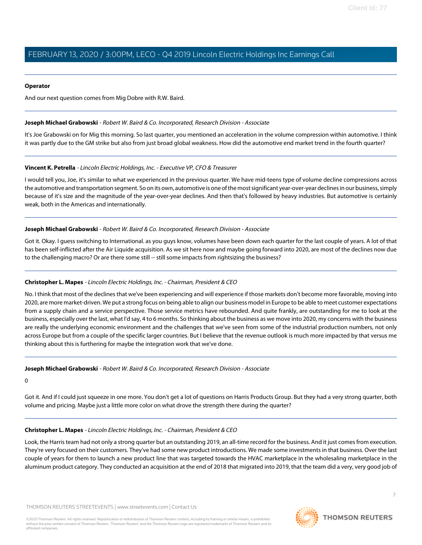#### **Operator**

<span id="page-6-0"></span>And our next question comes from Mig Dobre with R.W. Baird.

#### **Joseph Michael Grabowski** - Robert W. Baird & Co. Incorporated, Research Division - Associate

It's Joe Grabowski on for Mig this morning. So last quarter, you mentioned an acceleration in the volume compression within automotive. I think it was partly due to the GM strike but also from just broad global weakness. How did the automotive end market trend in the fourth quarter?

#### **Vincent K. Petrella** - Lincoln Electric Holdings, Inc. - Executive VP, CFO & Treasurer

I would tell you, Joe, it's similar to what we experienced in the previous quarter. We have mid-teens type of volume decline compressions across the automotive and transportation segment. So on its own, automotive is one of the most significant year-over-year declines in our business, simply because of it's size and the magnitude of the year-over-year declines. And then that's followed by heavy industries. But automotive is certainly weak, both in the Americas and internationally.

#### **Joseph Michael Grabowski** - Robert W. Baird & Co. Incorporated, Research Division - Associate

Got it. Okay. I guess switching to International. as you guys know, volumes have been down each quarter for the last couple of years. A lot of that has been self-inflicted after the Air Liquide acquisition. As we sit here now and maybe going forward into 2020, are most of the declines now due to the challenging macro? Or are there some still -- still some impacts from rightsizing the business?

#### **Christopher L. Mapes** - Lincoln Electric Holdings, Inc. - Chairman, President & CEO

No. I think that most of the declines that we've been experiencing and will experience if those markets don't become more favorable, moving into 2020, are more market-driven. We put a strong focus on being able to align our business model in Europe to be able to meet customer expectations from a supply chain and a service perspective. Those service metrics have rebounded. And quite frankly, are outstanding for me to look at the business, especially over the last, what I'd say, 4 to 6 months. So thinking about the business as we move into 2020, my concerns with the business are really the underlying economic environment and the challenges that we've seen from some of the industrial production numbers, not only across Europe but from a couple of the specific larger countries. But I believe that the revenue outlook is much more impacted by that versus me thinking about this is furthering for maybe the integration work that we've done.

#### **Joseph Michael Grabowski** - Robert W. Baird & Co. Incorporated, Research Division - Associate

 $\Omega$ 

Got it. And if I could just squeeze in one more. You don't get a lot of questions on Harris Products Group. But they had a very strong quarter, both volume and pricing. Maybe just a little more color on what drove the strength there during the quarter?

#### **Christopher L. Mapes** - Lincoln Electric Holdings, Inc. - Chairman, President & CEO

Look, the Harris team had not only a strong quarter but an outstanding 2019, an all-time record for the business. And it just comes from execution. They're very focused on their customers. They've had some new product introductions. We made some investments in that business. Over the last couple of years for them to launch a new product line that was targeted towards the HVAC marketplace in the wholesaling marketplace in the aluminum product category. They conducted an acquisition at the end of 2018 that migrated into 2019, that the team did a very, very good job of

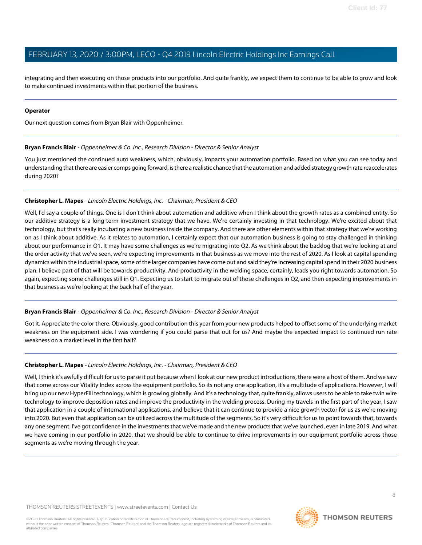integrating and then executing on those products into our portfolio. And quite frankly, we expect them to continue to be able to grow and look to make continued investments within that portion of the business.

#### **Operator**

<span id="page-7-0"></span>Our next question comes from Bryan Blair with Oppenheimer.

#### **Bryan Francis Blair** - Oppenheimer & Co. Inc., Research Division - Director & Senior Analyst

You just mentioned the continued auto weakness, which, obviously, impacts your automation portfolio. Based on what you can see today and understanding that there are easier comps going forward, is there a realistic chance that the automation and added strategy growth rate reaccelerates during 2020?

#### **Christopher L. Mapes** - Lincoln Electric Holdings, Inc. - Chairman, President & CEO

Well, I'd say a couple of things. One is I don't think about automation and additive when I think about the growth rates as a combined entity. So our additive strategy is a long-term investment strategy that we have. We're certainly investing in that technology. We're excited about that technology, but that's really incubating a new business inside the company. And there are other elements within that strategy that we're working on as I think about additive. As it relates to automation, I certainly expect that our automation business is going to stay challenged in thinking about our performance in Q1. It may have some challenges as we're migrating into Q2. As we think about the backlog that we're looking at and the order activity that we've seen, we're expecting improvements in that business as we move into the rest of 2020. As I look at capital spending dynamics within the industrial space, some of the larger companies have come out and said they're increasing capital spend in their 2020 business plan. I believe part of that will be towards productivity. And productivity in the welding space, certainly, leads you right towards automation. So again, expecting some challenges still in Q1. Expecting us to start to migrate out of those challenges in Q2, and then expecting improvements in that business as we're looking at the back half of the year.

#### **Bryan Francis Blair** - Oppenheimer & Co. Inc., Research Division - Director & Senior Analyst

Got it. Appreciate the color there. Obviously, good contribution this year from your new products helped to offset some of the underlying market weakness on the equipment side. I was wondering if you could parse that out for us? And maybe the expected impact to continued run rate weakness on a market level in the first half?

#### **Christopher L. Mapes** - Lincoln Electric Holdings, Inc. - Chairman, President & CEO

Well, I think it's awfully difficult for us to parse it out because when I look at our new product introductions, there were a host of them. And we saw that come across our Vitality Index across the equipment portfolio. So its not any one application, it's a multitude of applications. However, I will bring up our new HyperFill technology, which is growing globally. And it's a technology that, quite frankly, allows users to be able to take twin wire technology to improve deposition rates and improve the productivity in the welding process. During my travels in the first part of the year, I saw that application in a couple of international applications, and believe that it can continue to provide a nice growth vector for us as we're moving into 2020. But even that application can be utilized across the multitude of the segments. So it's very difficult for us to point towards that, towards any one segment. I've got confidence in the investments that we've made and the new products that we've launched, even in late 2019. And what we have coming in our portfolio in 2020, that we should be able to continue to drive improvements in our equipment portfolio across those segments as we're moving through the year.

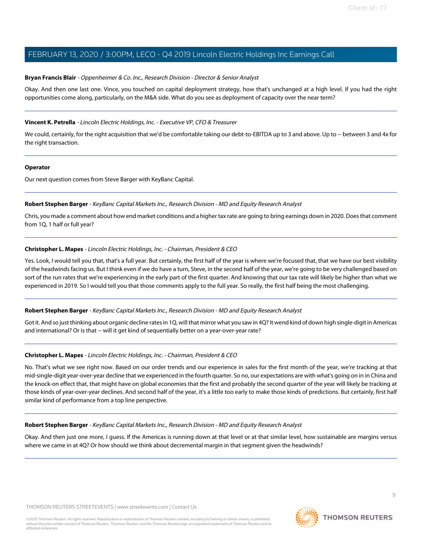#### **Bryan Francis Blair** - Oppenheimer & Co. Inc., Research Division - Director & Senior Analyst

Okay. And then one last one. Vince, you touched on capital deployment strategy, how that's unchanged at a high level. If you had the right opportunities come along, particularly, on the M&A side. What do you see as deployment of capacity over the near term?

#### **Vincent K. Petrella** - Lincoln Electric Holdings, Inc. - Executive VP, CFO & Treasurer

We could, certainly, for the right acquisition that we'd be comfortable taking our debt-to-EBITDA up to 3 and above. Up to -- between 3 and 4x for the right transaction.

#### **Operator**

<span id="page-8-0"></span>Our next question comes from Steve Barger with KeyBanc Capital.

#### **Robert Stephen Barger** - KeyBanc Capital Markets Inc., Research Division - MD and Equity Research Analyst

Chris, you made a comment about how end market conditions and a higher tax rate are going to bring earnings down in 2020. Does that comment from 1Q, 1 half or full year?

#### **Christopher L. Mapes** - Lincoln Electric Holdings, Inc. - Chairman, President & CEO

Yes. Look, I would tell you that, that's a full year. But certainly, the first half of the year is where we're focused that, that we have our best visibility of the headwinds facing us. But I think even if we do have a turn, Steve, in the second half of the year, we're going to be very challenged based on sort of the run rates that we're experiencing in the early part of the first quarter. And knowing that our tax rate will likely be higher than what we experienced in 2019. So I would tell you that those comments apply to the full year. So really, the first half being the most challenging.

#### **Robert Stephen Barger** - KeyBanc Capital Markets Inc., Research Division - MD and Equity Research Analyst

Got it. And so just thinking about organic decline rates in 1Q, will that mirror what you saw in 4Q? It wend kind of down high single-digit in Americas and international? Or is that -- will it get kind of sequentially better on a year-over-year rate?

#### **Christopher L. Mapes** - Lincoln Electric Holdings, Inc. - Chairman, President & CEO

No. That's what we see right now. Based on our order trends and our experience in sales for the first month of the year, we're tracking at that mid-single-digit year-over-year decline that we experienced in the fourth quarter. So no, our expectations are with what's going on in in China and the knock-on effect that, that might have on global economies that the first and probably the second quarter of the year will likely be tracking at those kinds of year-over-year declines. And second half of the year, it's a little too early to make those kinds of predictions. But certainly, first half similar kind of performance from a top line perspective.

#### **Robert Stephen Barger** - KeyBanc Capital Markets Inc., Research Division - MD and Equity Research Analyst

Okay. And then just one more, I guess. If the Americas is running down at that level or at that similar level, how sustainable are margins versus where we came in at 4Q? Or how should we think about decremental margin in that segment given the headwinds?